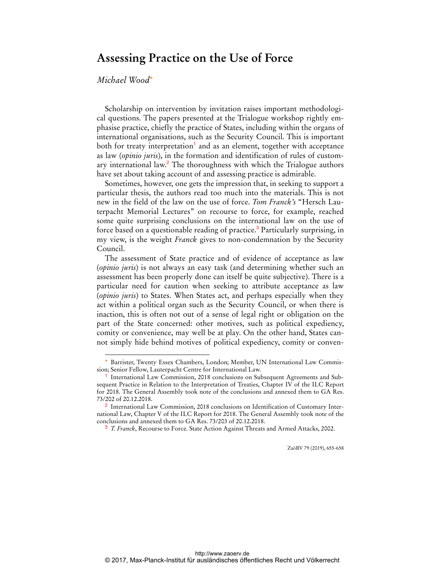## **Assessing Practice on the Use of Force**

## *Michael Wood*\*

 $\overline{a}$ 

Scholarship on intervention by invitation raises important methodological questions. The papers presented at the Trialogue workshop rightly emphasise practice, chiefly the practice of States, including within the organs of international organisations, such as the Security Council. This is important both for treaty interpretation<sup>1</sup> and as an element, together with acceptance as law (*opinio juris*), in the formation and identification of rules of customary international law.<sup>2</sup> The thoroughness with which the Trialogue authors have set about taking account of and assessing practice is admirable.

Sometimes, however, one gets the impression that, in seeking to support a particular thesis, the authors read too much into the materials. This is not new in the field of the law on the use of force. *Tom Franck's* "Hersch Lauterpacht Memorial Lectures" on recourse to force, for example, reached some quite surprising conclusions on the international law on the use of force based on a questionable reading of practice.<sup>3</sup> Particularly surprising, in my view, is the weight *Franck* gives to non-condemnation by the Security Council.

The assessment of State practice and of evidence of acceptance as law (*opinio juris*) is not always an easy task (and determining whether such an assessment has been properly done can itself be quite subjective). There is a particular need for caution when seeking to attribute acceptance as law (*opinio juris*) to States. When States act, and perhaps especially when they act within a political organ such as the Security Council, or when there is inaction, this is often not out of a sense of legal right or obligation on the part of the State concerned: other motives, such as political expediency, comity or convenience, may well be at play. On the other hand, States cannot simply hide behind motives of political expediency, comity or conven-

ZaöRV 79 (2019), 655-658

<sup>\*</sup> Barrister, Twenty Essex Chambers, London; Member, UN International Law Commission; Senior Fellow, Lauterpacht Centre for International Law.

<sup>1</sup> International Law Commission, 2018 conclusions on Subsequent Agreements and Subsequent Practice in Relation to the Interpretation of Treaties, Chapter IV of the ILC Report for 2018. The General Assembly took note of the conclusions and annexed them to GA Res. 73/202 of 20.12.2018.

<sup>2</sup> International Law Commission, 2018 conclusions on Identification of Customary International Law, Chapter V of the ILC Report for 2018. The General Assembly took note of the conclusions and annexed them to GA Res. 73/203 of 20.12.2018.

<sup>3</sup> *T. Franck*, Recourse to Force. State Action Against Threats and Armed Attacks, 2002.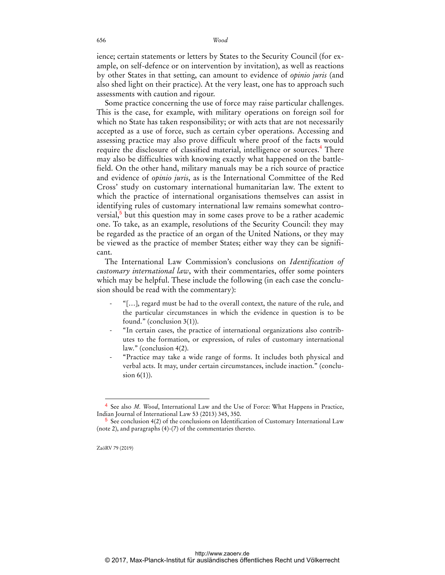656 *Wood*

ience; certain statements or letters by States to the Security Council (for example, on self-defence or on intervention by invitation), as well as reactions by other States in that setting, can amount to evidence of *opinio juris* (and also shed light on their practice). At the very least, one has to approach such assessments with caution and rigour.

Some practice concerning the use of force may raise particular challenges. This is the case, for example, with military operations on foreign soil for which no State has taken responsibility; or with acts that are not necessarily accepted as a use of force, such as certain cyber operations. Accessing and assessing practice may also prove difficult where proof of the facts would require the disclosure of classified material, intelligence or sources.<sup>4</sup> There may also be difficulties with knowing exactly what happened on the battlefield. On the other hand, military manuals may be a rich source of practice and evidence of *opinio juris*, as is the International Committee of the Red Cross' study on customary international humanitarian law. The extent to which the practice of international organisations themselves can assist in identifying rules of customary international law remains somewhat controversial,<sup>5</sup> but this question may in some cases prove to be a rather academic one. To take, as an example, resolutions of the Security Council: they may be regarded as the practice of an organ of the United Nations, or they may be viewed as the practice of member States; either way they can be significant.

The International Law Commission's conclusions on *Identification of customary international law*, with their commentaries, offer some pointers which may be helpful. These include the following (in each case the conclusion should be read with the commentary):

- ‐ "[…], regard must be had to the overall context, the nature of the rule, and the particular circumstances in which the evidence in question is to be found." (conclusion 3(1)).
- ‐ "In certain cases, the practice of international organizations also contributes to the formation, or expression, of rules of customary international law." (conclusion 4(2).
- ‐ "Practice may take a wide range of forms. It includes both physical and verbal acts. It may, under certain circumstances, include inaction." (conclusion 6(1)).

ZaöRV 79 (2019)

 $\overline{a}$ 

See also *M. Wood*, International Law and the Use of Force: What Happens in Practice, Indian Journal of International Law 53 (2013) 345, 350.

<sup>5</sup> See conclusion 4(2) of the conclusions on Identification of Customary International Law (note 2), and paragraphs (4)-(7) of the commentaries thereto.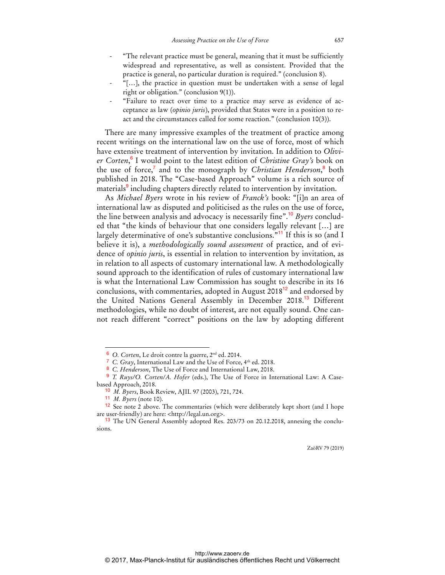- ‐ "The relevant practice must be general, meaning that it must be sufficiently widespread and representative, as well as consistent. Provided that the practice is general, no particular duration is required." (conclusion 8).
- ‐ "[…], the practice in question must be undertaken with a sense of legal right or obligation." (conclusion 9(1)).
- ‐ "Failure to react over time to a practice may serve as evidence of acceptance as law (*opinio juris*), provided that States were in a position to react and the circumstances called for some reaction." (conclusion 10(3)).

There are many impressive examples of the treatment of practice among recent writings on the international law on the use of force, most of which have extensive treatment of intervention by invitation. In addition to *Olivier Corten*, 6 I would point to the latest edition of *Christine Gray's* book on the use of force,<sup>7</sup> and to the monograph by *Christian Henderson*,<sup>8</sup> both published in 2018. The "Case-based Approach" volume is a rich source of materials<sup>9</sup> including chapters directly related to intervention by invitation.

As *Michael Byers* wrote in his review of *Franck's* book: "[i]n an area of international law as disputed and politicised as the rules on the use of force, the line between analysis and advocacy is necessarily fine".<sup>10</sup> *Byers* concluded that "the kinds of behaviour that one considers legally relevant […] are largely determinative of one's substantive conclusions.<sup>"11</sup> If this is so (and I believe it is), a *methodologically sound assessment* of practice, and of evidence of *opinio juris*, is essential in relation to intervention by invitation, as in relation to all aspects of customary international law. A methodologically sound approach to the identification of rules of customary international law is what the International Law Commission has sought to describe in its 16 conclusions, with commentaries, adopted in August 2018<sup>12</sup> and endorsed by the United Nations General Assembly in December 2018.<sup>13</sup> Different methodologies, while no doubt of interest, are not equally sound. One cannot reach different "correct" positions on the law by adopting different

 $\overline{a}$ 

ZaöRV 79 (2019)

<sup>6</sup> *O. Corten*, Le droit contre la guerre, 2nd ed. 2014.

<sup>&</sup>lt;sup>7</sup> C. Gray, International Law and the Use of Force, 4<sup>th</sup> ed. 2018.

<sup>8</sup> *C. Henderson*, The Use of Force and International Law, 2018.

<sup>9</sup> *T. Ruys/O. Corten/A. Hofer* (eds.), The Use of Force in International Law: A Casebased Approach, 2018.

<sup>10</sup> *M. Byers*, Book Review, AJIL 97 (2003), 721, 724.

<sup>11</sup> *M. Byers* (note 10).

<sup>12</sup> See note 2 above. The commentaries (which were deliberately kept short (and I hope are user-friendly) are here: <http://legal.un.org>.

<sup>&</sup>lt;sup>13</sup> The UN General Assembly adopted Res. 203/73 on 20.12.2018, annexing the conclusions.